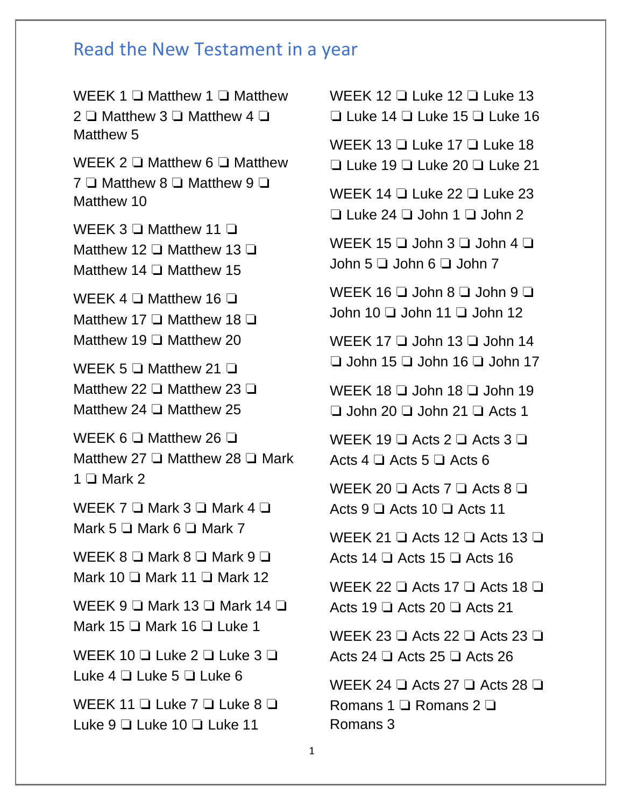## Read the New Testament in a year

WEEK 1 <del>□</del> Matthew 1 □ Matthew 2 ❏ Matthew 3 ❏ Matthew 4 ❏ Matthew 5 WEEK 2 □ Matthew 6 □ Matthew 7 ❏ Matthew 8 ❏ Matthew 9 ❏ Matthew 10 WEEK 3 <del>□</del> Matthew 11 □ Matthew 12 ❏ Matthew 13 ❏ Matthew 14 ❏ Matthew 15 WEEK 4 <del>□</del> Matthew 16 □ Matthew 17 ❏ Matthew 18 ❏ Matthew 19 ❏ Matthew 20 WEEK 5 <del>□</del> Matthew 21 □ Matthew 22 ❏ Matthew 23 ❏ Matthew 24 ❏ Matthew 25 WEEK 6 <del>□</del> Matthew 26 □ Matthew 27 ❏ Matthew 28 ❏ Mark  $1 \Box$  Mark 2 WEEK 7 □ Mark 3 □ Mark 4 □ Mark 5 ❏ Mark 6 ❏ Mark 7 WEEK 8 □ Mark 8 □ Mark 9 □ Mark 10 ❏ Mark 11 ❏ Mark 12 WEEK 9  $\Box$  Mark 13  $\Box$  Mark 14  $\Box$ Mark 15 ❏ Mark 16 ❏ Luke 1 WEEK 10 ❏ Luke 2 ❏ Luke 3 ❏ Luke 4 ❏ Luke 5 ❏ Luke 6 WEEK 11 <del></del> □ Luke 7 □ Luke 8 □ Luke 9 ❏ Luke 10 ❏ Luke 11

WEEK 12 **□ Luke 12 □ Luke 13** ❏ Luke 14 ❏ Luke 15 ❏ Luke 16 WEEK 13 □ Luke 17 □ Luke 18 ❏ Luke 19 ❏ Luke 20 ❏ Luke 21 WEEK 14 <del>□</del> Luke 22 □ Luke 23 ❏ Luke 24 ❏ John 1 ❏ John 2 WEEK 15 ❏ John 3 ❏ John 4 ❏ John 5 ❏ John 6 ❏ John 7 WEEK 16  $\Box$  John 8  $\Box$  John 9  $\Box$ John 10 ❏ John 11 ❏ John 12 WEEK 17 □ John 13 □ John 14 ❏ John 15 ❏ John 16 ❏ John 17 WEEK 18 **□** John 18 **□** John 19 ❏ John 20 ❏ John 21 ❏ Acts 1 WEEK 19  $\Box$  Acts 2  $\Box$  Acts 3  $\Box$ Acts 4 ❏ Acts 5 ❏ Acts 6 WEEK 20  $\Box$  Acts 7  $\Box$  Acts 8  $\Box$ Acts 9 ❏ Acts 10 ❏ Acts 11 WEEK 21  $\Box$  Acts 12  $\Box$  Acts 13  $\Box$ Acts 14 ❏ Acts 15 ❏ Acts 16 WEEK 22 **□** Acts 17 **□** Acts 18 **□** Acts 19 ❏ Acts 20 ❏ Acts 21 WEEK 23 ❏ Acts 22 ❏ Acts 23 ❏ Acts 24 ❏ Acts 25 ❏ Acts 26 WEEK 24  $\Box$  Acts 27  $\Box$  Acts 28  $\Box$ Romans 1 ❏ Romans 2 ❏ Romans 3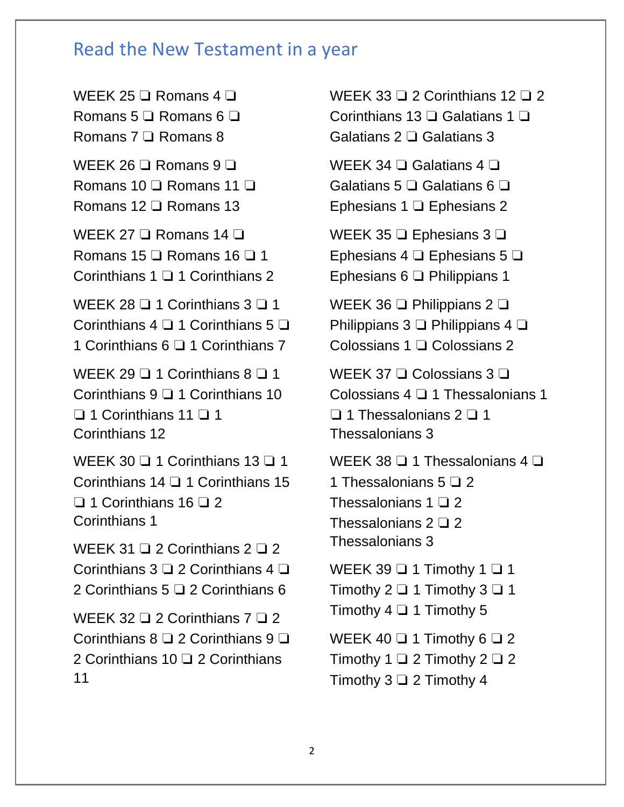## Read the New Testament in a year

WEEK 25 <del>□</del> Romans 4 □ Romans 5 ❏ Romans 6 ❏ Romans 7 ❏ Romans 8 WEEK 26 <del>□</del> Romans 9 □ Romans 10 ❏ Romans 11 ❏ Romans 12 ❏ Romans 13 WEEK 27 ❏ Romans 14 ❏ Romans 15 ❏ Romans 16 ❏ 1 Corinthians 1 ❏ 1 Corinthians 2 WEEK 28 <del>□</del> 1 Corinthians 3 □ 1 Corinthians 4 ❏ 1 Corinthians 5 ❏ 1 Corinthians 6 ❏ 1 Corinthians 7 WEEK 29  $\Box$  1 Corinthians 8  $\Box$  1 Corinthians 9 ❏ 1 Corinthians 10 ❏ 1 Corinthians 11 ❏ 1 Corinthians 12 WEEK 30  $\Box$  1 Corinthians 13  $\Box$  1 Corinthians 14 ❏ 1 Corinthians 15 ❏ 1 Corinthians 16 ❏ 2 Corinthians 1 WEEK 31  $\Box$  2 Corinthians 2  $\Box$  2 Corinthians 3 ❏ 2 Corinthians 4 ❏ 2 Corinthians 5 □ 2 Corinthians 6 WEEK 32 **□ 2 Corinthians 7 □ 2** Corinthians 8 ❏ 2 Corinthians 9 ❏ 2 Corinthians 10 <del>□</del> 2 Corinthians 11

WEEK 33 <del>□</del> 2 Corinthians 12 □ 2 Corinthians 13 ❏ Galatians 1 ❏ Galatians 2 ❏ Galatians 3 WEEK 34 <del>□</del> Galatians 4 □ Galatians 5 ❏ Galatians 6 ❏ Ephesians 1 ❏ Ephesians 2 WEEK 35 ❏ Ephesians 3 ❏ Ephesians 4 ❏ Ephesians 5 ❏ Ephesians 6 ❏ Philippians 1 WEEK 36 <del>□</del> Philippians 2 □ Philippians 3 ❏ Philippians 4 ❏ Colossians 1 ❏ Colossians 2 WEEK 37 <del>□</del> Colossians 3 □ Colossians 4 ❏ 1 Thessalonians 1 ❏ 1 Thessalonians 2 ❏ 1 Thessalonians 3 WEEK 38 <del>□</del> 1 Thessalonians 4 □ 1 Thessalonians 5 ❏ 2 Thessalonians 1 ❏ 2 Thessalonians 2 ❏ 2 Thessalonians 3 WEEK 39  $\Box$  1 Timothy 1  $\Box$  1 Timothy 2  $\Box$  1 Timothy 3  $\Box$  1 Timothy  $4 \square 1$  Timothy 5 WEEK 40  $\Box$  1 Timothy 6  $\Box$  2 Timothy 1  $\Box$  2 Timothy 2  $\Box$  2 Timothy 3 ❏ 2 Timothy 4